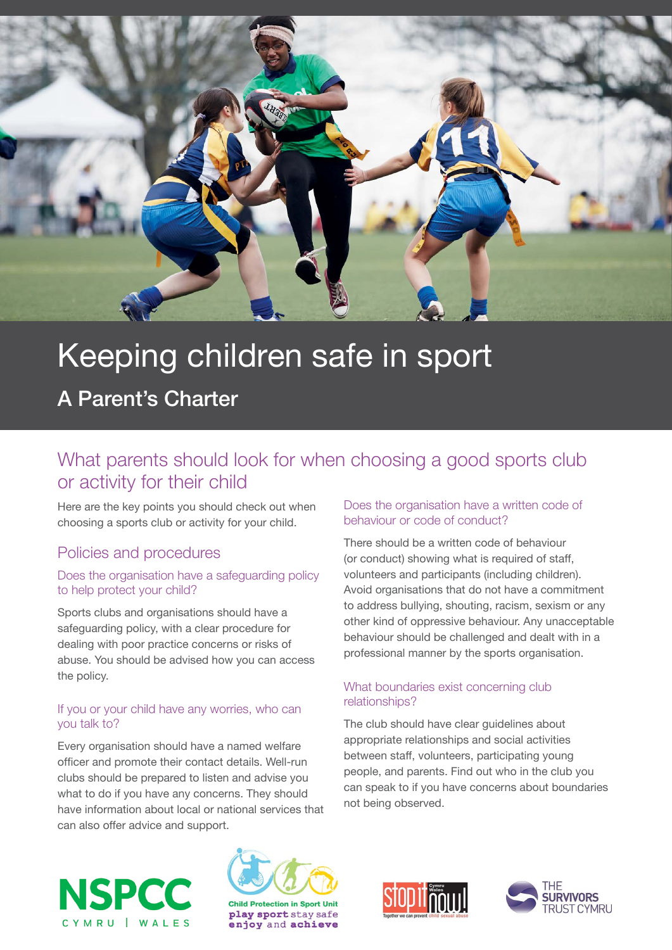

# Keeping children safe in sport

A Parent's Charter

# What parents should look for when choosing a good sports club or activity for their child

Here are the key points you should check out when choosing a sports club or activity for your child.

### Policies and procedures

#### Does the organisation have a safeguarding policy to help protect your child?

Sports clubs and organisations should have a safeguarding policy, with a clear procedure for dealing with poor practice concerns or risks of abuse. You should be advised how you can access the policy.

#### If you or your child have any worries, who can you talk to?

Every organisation should have a named welfare officer and promote their contact details. Well-run clubs should be prepared to listen and advise you what to do if you have any concerns. They should have information about local or national services that can also offer advice and support.

#### Does the organisation have a written code of behaviour or code of conduct?

There should be a written code of behaviour (or conduct) showing what is required of staff, volunteers and participants (including children). Avoid organisations that do not have a commitment to address bullying, shouting, racism, sexism or any other kind of oppressive behaviour. Any unacceptable behaviour should be challenged and dealt with in a professional manner by the sports organisation.

#### What boundaries exist concerning club relationships?

The club should have clear guidelines about appropriate relationships and social activities between staff, volunteers, participating young people, and parents. Find out who in the club you can speak to if you have concerns about boundaries not being observed.







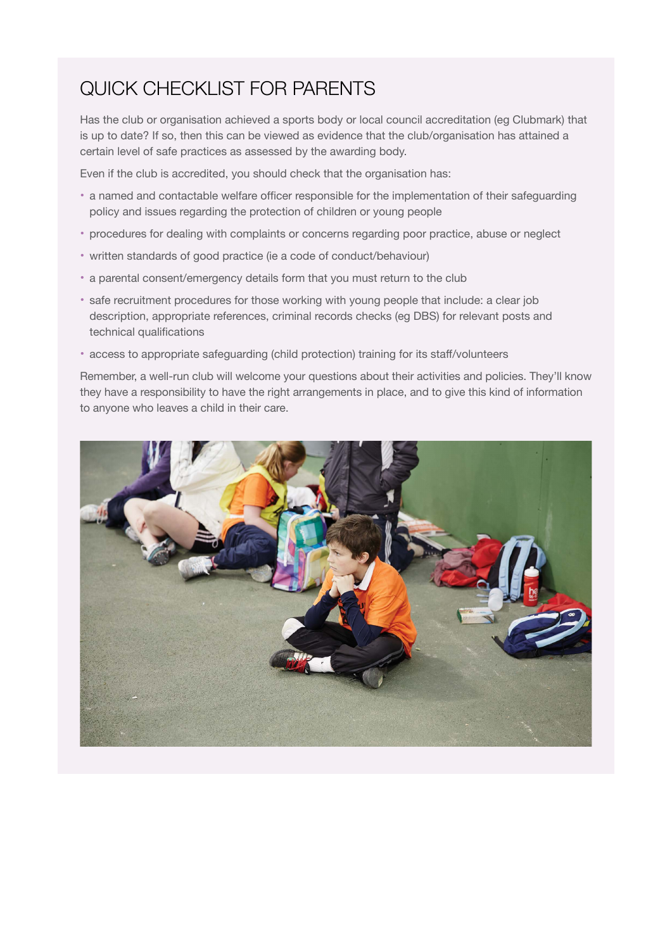# Quick checklist for parents

Has the club or organisation achieved a sports body or local council accreditation (eg Clubmark) that is up to date? If so, then this can be viewed as evidence that the club/organisation has attained a certain level of safe practices as assessed by the awarding body.

Even if the club is accredited, you should check that the organisation has:

- a named and contactable welfare officer responsible for the implementation of their safeguarding policy and issues regarding the protection of children or young people
- procedures for dealing with complaints or concerns regarding poor practice, abuse or neglect
- written standards of good practice (ie a code of conduct/behaviour)
- a parental consent/emergency details form that you must return to the club
- safe recruitment procedures for those working with young people that include: a clear job description, appropriate references, criminal records checks (eg DBS) for relevant posts and technical qualifications
- access to appropriate safeguarding (child protection) training for its staff/volunteers

Remember, a well-run club will welcome your questions about their activities and policies. They'll know they have a responsibility to have the right arrangements in place, and to give this kind of information to anyone who leaves a child in their care.